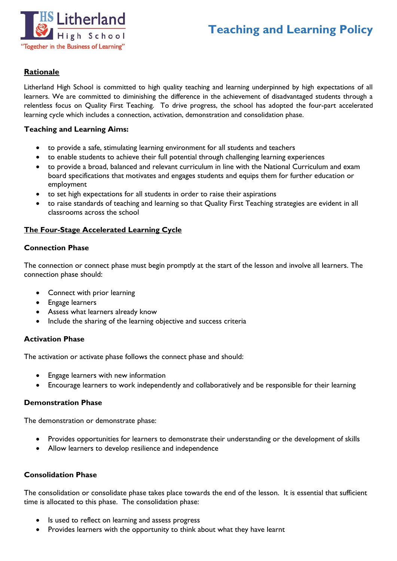

# **Teaching and Learning Policy**

#### **Rationale**

Litherland High School is committed to high quality teaching and learning underpinned by high expectations of all learners. We are committed to diminishing the difference in the achievement of disadvantaged students through a relentless focus on Quality First Teaching. To drive progress, the school has adopted the four-part accelerated learning cycle which includes a connection, activation, demonstration and consolidation phase.

#### **Teaching and Learning Aims:**

- to provide a safe, stimulating learning environment for all students and teachers
- to enable students to achieve their full potential through challenging learning experiences
- to provide a broad, balanced and relevant curriculum in line with the National Curriculum and exam board specifications that motivates and engages students and equips them for further education or employment
- to set high expectations for all students in order to raise their aspirations
- to raise standards of teaching and learning so that Quality First Teaching strategies are evident in all classrooms across the school

#### **The Four-Stage Accelerated Learning Cycle**

#### **Connection Phase**

The connection or connect phase must begin promptly at the start of the lesson and involve all learners. The connection phase should:

- Connect with prior learning
- Engage learners
- Assess what learners already know
- Include the sharing of the learning objective and success criteria

#### **Activation Phase**

The activation or activate phase follows the connect phase and should:

- Engage learners with new information
- Encourage learners to work independently and collaboratively and be responsible for their learning

#### **Demonstration Phase**

The demonstration or demonstrate phase:

- Provides opportunities for learners to demonstrate their understanding or the development of skills
- Allow learners to develop resilience and independence

#### **Consolidation Phase**

The consolidation or consolidate phase takes place towards the end of the lesson. It is essential that sufficient time is allocated to this phase. The consolidation phase:

- Is used to reflect on learning and assess progress
- Provides learners with the opportunity to think about what they have learnt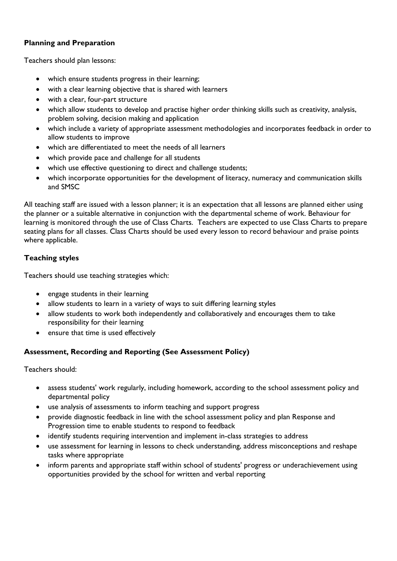#### **Planning and Preparation**

Teachers should plan lessons:

- which ensure students progress in their learning;
- with a clear learning objective that is shared with learners
- with a clear, four-part structure
- which allow students to develop and practise higher order thinking skills such as creativity, analysis, problem solving, decision making and application
- which include a variety of appropriate assessment methodologies and incorporates feedback in order to allow students to improve
- which are differentiated to meet the needs of all learners
- which provide pace and challenge for all students
- which use effective questioning to direct and challenge students;
- which incorporate opportunities for the development of literacy, numeracy and communication skills and SMSC

All teaching staff are issued with a lesson planner; it is an expectation that all lessons are planned either using the planner or a suitable alternative in conjunction with the departmental scheme of work. Behaviour for learning is monitored through the use of Class Charts. Teachers are expected to use Class Charts to prepare seating plans for all classes. Class Charts should be used every lesson to record behaviour and praise points where applicable.

#### **Teaching styles**

Teachers should use teaching strategies which:

- engage students in their learning
- allow students to learn in a variety of ways to suit differing learning styles
- allow students to work both independently and collaboratively and encourages them to take responsibility for their learning
- ensure that time is used effectively

#### **Assessment, Recording and Reporting (See Assessment Policy)**

Teachers should:

- assess students' work regularly, including homework, according to the school assessment policy and departmental policy
- use analysis of assessments to inform teaching and support progress
- provide diagnostic feedback in line with the school assessment policy and plan Response and Progression time to enable students to respond to feedback
- identify students requiring intervention and implement in-class strategies to address
- use assessment for learning in lessons to check understanding, address misconceptions and reshape tasks where appropriate
- inform parents and appropriate staff within school of students' progress or underachievement using opportunities provided by the school for written and verbal reporting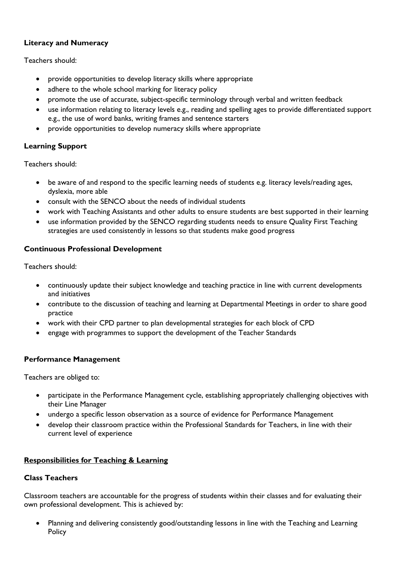#### **Literacy and Numeracy**

Teachers should:

- provide opportunities to develop literacy skills where appropriate
- adhere to the whole school marking for literacy policy
- promote the use of accurate, subject-specific terminology through verbal and written feedback
- use information relating to literacy levels e.g., reading and spelling ages to provide differentiated support e.g., the use of word banks, writing frames and sentence starters
- provide opportunities to develop numeracy skills where appropriate

### **Learning Support**

Teachers should:

- be aware of and respond to the specific learning needs of students e.g. literacy levels/reading ages, dyslexia, more able
- consult with the SENCO about the needs of individual students
- work with Teaching Assistants and other adults to ensure students are best supported in their learning
- use information provided by the SENCO regarding students needs to ensure Quality First Teaching strategies are used consistently in lessons so that students make good progress

#### **Continuous Professional Development**

Teachers should:

- continuously update their subject knowledge and teaching practice in line with current developments and initiatives
- contribute to the discussion of teaching and learning at Departmental Meetings in order to share good practice
- work with their CPD partner to plan developmental strategies for each block of CPD
- engage with programmes to support the development of the Teacher Standards

#### **Performance Management**

Teachers are obliged to:

- participate in the Performance Management cycle, establishing appropriately challenging objectives with their Line Manager
- undergo a specific lesson observation as a source of evidence for Performance Management
- develop their classroom practice within the Professional Standards for Teachers, in line with their current level of experience

### **Responsibilities for Teaching & Learning**

#### **Class Teachers**

Classroom teachers are accountable for the progress of students within their classes and for evaluating their own professional development. This is achieved by:

 Planning and delivering consistently good/outstanding lessons in line with the Teaching and Learning **Policy**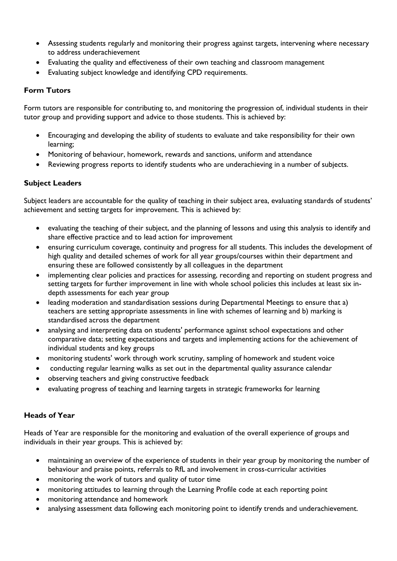- Assessing students regularly and monitoring their progress against targets, intervening where necessary to address underachievement
- Evaluating the quality and effectiveness of their own teaching and classroom management
- Evaluating subject knowledge and identifying CPD requirements.

#### **Form Tutors**

Form tutors are responsible for contributing to, and monitoring the progression of, individual students in their tutor group and providing support and advice to those students. This is achieved by:

- Encouraging and developing the ability of students to evaluate and take responsibility for their own learning;
- Monitoring of behaviour, homework, rewards and sanctions, uniform and attendance
- Reviewing progress reports to identify students who are underachieving in a number of subjects.

#### **Subject Leaders**

Subject leaders are accountable for the quality of teaching in their subject area, evaluating standards of students' achievement and setting targets for improvement. This is achieved by:

- evaluating the teaching of their subject, and the planning of lessons and using this analysis to identify and share effective practice and to lead action for improvement
- ensuring curriculum coverage, continuity and progress for all students. This includes the development of high quality and detailed schemes of work for all year groups/courses within their department and ensuring these are followed consistently by all colleagues in the department
- implementing clear policies and practices for assessing, recording and reporting on student progress and setting targets for further improvement in line with whole school policies this includes at least six indepth assessments for each year group
- leading moderation and standardisation sessions during Departmental Meetings to ensure that a) teachers are setting appropriate assessments in line with schemes of learning and b) marking is standardised across the department
- analysing and interpreting data on students' performance against school expectations and other comparative data; setting expectations and targets and implementing actions for the achievement of individual students and key groups
- monitoring students' work through work scrutiny, sampling of homework and student voice
- conducting regular learning walks as set out in the departmental quality assurance calendar
- observing teachers and giving constructive feedback
- evaluating progress of teaching and learning targets in strategic frameworks for learning

#### **Heads of Year**

Heads of Year are responsible for the monitoring and evaluation of the overall experience of groups and individuals in their year groups. This is achieved by:

- maintaining an overview of the experience of students in their year group by monitoring the number of behaviour and praise points, referrals to RfL and involvement in cross-curricular activities
- monitoring the work of tutors and quality of tutor time
- monitoring attitudes to learning through the Learning Profile code at each reporting point
- monitoring attendance and homework
- analysing assessment data following each monitoring point to identify trends and underachievement.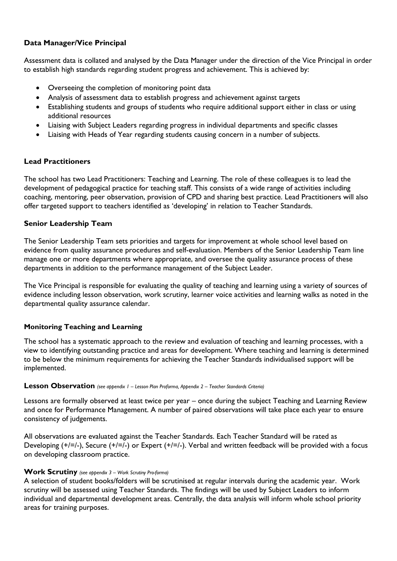#### **Data Manager/Vice Principal**

Assessment data is collated and analysed by the Data Manager under the direction of the Vice Principal in order to establish high standards regarding student progress and achievement. This is achieved by:

- Overseeing the completion of monitoring point data
- Analysis of assessment data to establish progress and achievement against targets
- Establishing students and groups of students who require additional support either in class or using additional resources
- Liaising with Subject Leaders regarding progress in individual departments and specific classes
- Liaising with Heads of Year regarding students causing concern in a number of subjects.

#### **Lead Practitioners**

The school has two Lead Practitioners: Teaching and Learning. The role of these colleagues is to lead the development of pedagogical practice for teaching staff. This consists of a wide range of activities including coaching, mentoring, peer observation, provision of CPD and sharing best practice. Lead Practitioners will also offer targeted support to teachers identified as 'developing' in relation to Teacher Standards.

#### **Senior Leadership Team**

The Senior Leadership Team sets priorities and targets for improvement at whole school level based on evidence from quality assurance procedures and self-evaluation. Members of the Senior Leadership Team line manage one or more departments where appropriate, and oversee the quality assurance process of these departments in addition to the performance management of the Subject Leader.

The Vice Principal is responsible for evaluating the quality of teaching and learning using a variety of sources of evidence including lesson observation, work scrutiny, learner voice activities and learning walks as noted in the departmental quality assurance calendar.

#### **Monitoring Teaching and Learning**

The school has a systematic approach to the review and evaluation of teaching and learning processes, with a view to identifying outstanding practice and areas for development. Where teaching and learning is determined to be below the minimum requirements for achieving the Teacher Standards individualised support will be implemented.

#### **Lesson Observation** *(see appendix 1 – Lesson Plan Proforma, Appendix 2 – Teacher Standards Criteria)*

Lessons are formally observed at least twice per year – once during the subject Teaching and Learning Review and once for Performance Management. A number of paired observations will take place each year to ensure consistency of judgements.

All observations are evaluated against the Teacher Standards. Each Teacher Standard will be rated as Developing (+/=/-), Secure (+/=/-) or Expert (+/=/-). Verbal and written feedback will be provided with a focus on developing classroom practice.

#### **Work Scrutiny** *(see appendix 3 – Work Scrutiny Pro-forma)*

A selection of student books/folders will be scrutinised at regular intervals during the academic year. Work scrutiny will be assessed using Teacher Standards. The findings will be used by Subject Leaders to inform individual and departmental development areas. Centrally, the data analysis will inform whole school priority areas for training purposes.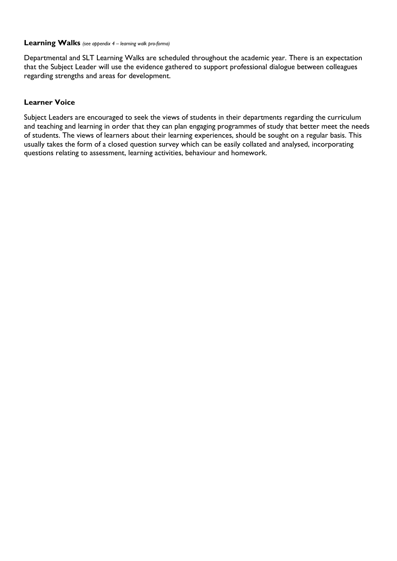#### **Learning Walks** *(see appendix 4 – learning walk pro-forma)*

Departmental and SLT Learning Walks are scheduled throughout the academic year. There is an expectation that the Subject Leader will use the evidence gathered to support professional dialogue between colleagues regarding strengths and areas for development.

#### **Learner Voice**

Subject Leaders are encouraged to seek the views of students in their departments regarding the curriculum and teaching and learning in order that they can plan engaging programmes of study that better meet the needs of students. The views of learners about their learning experiences, should be sought on a regular basis. This usually takes the form of a closed question survey which can be easily collated and analysed, incorporating questions relating to assessment, learning activities, behaviour and homework.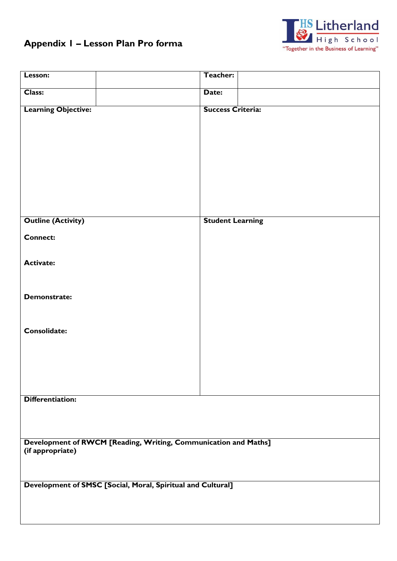# **Appendix 1 – Lesson Plan Pro forma**



| Lesson:                                                                             | Teacher:                 |  |  |  |  |
|-------------------------------------------------------------------------------------|--------------------------|--|--|--|--|
| Class:                                                                              | Date:                    |  |  |  |  |
| <b>Learning Objective:</b>                                                          | <b>Success Criteria:</b> |  |  |  |  |
| <b>Outline (Activity)</b>                                                           | <b>Student Learning</b>  |  |  |  |  |
| <b>Connect:</b>                                                                     |                          |  |  |  |  |
| <b>Activate:</b>                                                                    |                          |  |  |  |  |
| <b>Demonstrate:</b>                                                                 |                          |  |  |  |  |
| Consolidate:                                                                        |                          |  |  |  |  |
| Differentiation:                                                                    |                          |  |  |  |  |
|                                                                                     |                          |  |  |  |  |
| Development of RWCM [Reading, Writing, Communication and Maths]<br>(if appropriate) |                          |  |  |  |  |
| Development of SMSC [Social, Moral, Spiritual and Cultural]                         |                          |  |  |  |  |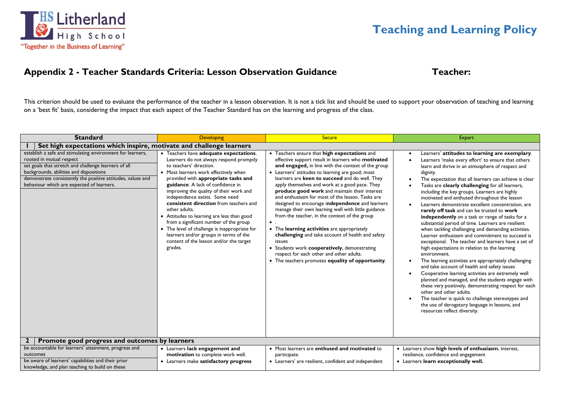

## Appendix 2 - Teacher Standards Criteria: Lesson Observation Guidance Teacher:

This criterion should be used to evaluate the performance of the teacher in a lesson observation. It is not a tick list and should be used to support your observation of teaching and learning on a 'best fit' basis, considering the impact that each aspect of the Teacher Standard has on the learning and progress of the class.

| <b>Standard</b>                                                                                                                                                                                                                                                                                       | <b>Developing</b>                                                                                                                                                                                                                                                                                                                                                                                                                                                                                                                                                                                                  | <b>Secure</b>                                                                                                                                                                                                                                                                                                                                                                                                                                                                                                                                                                                                                                                                                                                                                                                                                                | Expert                                                                                                                                                                                                                                                                                                                                                                                                                                                                                                                                                                                                                                                                                                                                                                                                                                                                                                                                                                                                                                                                                                                                                                                                                                                                                       |  |  |  |  |  |
|-------------------------------------------------------------------------------------------------------------------------------------------------------------------------------------------------------------------------------------------------------------------------------------------------------|--------------------------------------------------------------------------------------------------------------------------------------------------------------------------------------------------------------------------------------------------------------------------------------------------------------------------------------------------------------------------------------------------------------------------------------------------------------------------------------------------------------------------------------------------------------------------------------------------------------------|----------------------------------------------------------------------------------------------------------------------------------------------------------------------------------------------------------------------------------------------------------------------------------------------------------------------------------------------------------------------------------------------------------------------------------------------------------------------------------------------------------------------------------------------------------------------------------------------------------------------------------------------------------------------------------------------------------------------------------------------------------------------------------------------------------------------------------------------|----------------------------------------------------------------------------------------------------------------------------------------------------------------------------------------------------------------------------------------------------------------------------------------------------------------------------------------------------------------------------------------------------------------------------------------------------------------------------------------------------------------------------------------------------------------------------------------------------------------------------------------------------------------------------------------------------------------------------------------------------------------------------------------------------------------------------------------------------------------------------------------------------------------------------------------------------------------------------------------------------------------------------------------------------------------------------------------------------------------------------------------------------------------------------------------------------------------------------------------------------------------------------------------------|--|--|--|--|--|
| Set high expectations which inspire, motivate and challenge learners                                                                                                                                                                                                                                  |                                                                                                                                                                                                                                                                                                                                                                                                                                                                                                                                                                                                                    |                                                                                                                                                                                                                                                                                                                                                                                                                                                                                                                                                                                                                                                                                                                                                                                                                                              |                                                                                                                                                                                                                                                                                                                                                                                                                                                                                                                                                                                                                                                                                                                                                                                                                                                                                                                                                                                                                                                                                                                                                                                                                                                                                              |  |  |  |  |  |
| establish a safe and stimulating environment for learners,<br>rooted in mutual respect<br>set goals that stretch and challenge learners of all<br>backgrounds, abilities and dispositions<br>demonstrate consistently the positive attitudes, values and<br>behaviour which are expected of learners. | • Teachers have adequate expectations.<br>Learners do not always respond promptly<br>to teachers' direction.<br>• Most learners work effectively when<br>provided with appropriate tasks and<br>guidance. A lack of confidence in<br>improving the quality of their work and<br>independence exists. Some need<br>consistent direction from teachers and<br>other adults.<br>• Attitudes to learning are less than good<br>from a significant number of the group<br>• The level of challenge is inappropriate for<br>learners and/or groups in terms of the<br>content of the lesson and/or the target<br>grades. | • Teachers ensure that high expectations and<br>effective support result in learners who motivated<br>and engaged, in line with the context of the group<br>• Learners' attitudes to learning are good; most<br>learners are keen to succeed and do well. They<br>apply themselves and work at a good pace. They<br>produce good work and maintain their interest<br>and enthusiasm for most of the lesson. Tasks are<br>designed to encourage independence and learners<br>manage their own learning well with little guidance<br>from the teacher, in the context of the group<br>• The learning activities are appropriately<br>challenging and take account of health and safety<br>issues<br>Students work cooperatively, demonstrating<br>respect for each other and other adults.<br>• The teachers promotes equality of opportunity. | Learners' attitudes to learning are exemplary.<br>Learners 'make every effort' to ensure that others<br>learn and thrive in an atmosphere of respect and<br>dignity.<br>The expectation that all learners can achieve is clear<br>Tasks are clearly challenging for all learners,<br>including the key groups. Learners are highly<br>motivated and enthused throughout the lesson<br>Learners demonstrate excellent concentration, are<br>rarely off task and can be trusted to work<br>independently on a task or range of tasks for a<br>substantial period of time. Learners are resilient<br>when tackling challenging and demanding activities.<br>Learner enthusiasm and commitment to succeed is<br>exceptional. The teacher and learners have a set of<br>high expectations in relation to the learning<br>environment.<br>The learning activities are appropriately challenging<br>and take account of health and safety issues<br>Cooperative learning activities are extremely well<br>$\bullet$<br>planned and managed, and the students engage with<br>these very positively, demonstrating respect for each<br>other and other adults.<br>The teacher is quick to challenge stereotypes and<br>the use of derogatory language in lessons, and<br>resources reflect diversity. |  |  |  |  |  |
|                                                                                                                                                                                                                                                                                                       | Promote good progress and outcomes by learners                                                                                                                                                                                                                                                                                                                                                                                                                                                                                                                                                                     |                                                                                                                                                                                                                                                                                                                                                                                                                                                                                                                                                                                                                                                                                                                                                                                                                                              |                                                                                                                                                                                                                                                                                                                                                                                                                                                                                                                                                                                                                                                                                                                                                                                                                                                                                                                                                                                                                                                                                                                                                                                                                                                                                              |  |  |  |  |  |
| be accountable for learners' attainment, progress and                                                                                                                                                                                                                                                 | • Learners lack engagement and                                                                                                                                                                                                                                                                                                                                                                                                                                                                                                                                                                                     | • Most learners are enthused and motivated to                                                                                                                                                                                                                                                                                                                                                                                                                                                                                                                                                                                                                                                                                                                                                                                                | • Learners show high levels of enthusiasm, interest,                                                                                                                                                                                                                                                                                                                                                                                                                                                                                                                                                                                                                                                                                                                                                                                                                                                                                                                                                                                                                                                                                                                                                                                                                                         |  |  |  |  |  |
| outcomes                                                                                                                                                                                                                                                                                              | motivation to complete work well.                                                                                                                                                                                                                                                                                                                                                                                                                                                                                                                                                                                  | participate.                                                                                                                                                                                                                                                                                                                                                                                                                                                                                                                                                                                                                                                                                                                                                                                                                                 | resilience, confidence and engagement                                                                                                                                                                                                                                                                                                                                                                                                                                                                                                                                                                                                                                                                                                                                                                                                                                                                                                                                                                                                                                                                                                                                                                                                                                                        |  |  |  |  |  |
| be aware of learners' capabilities and their prior<br>knowledge, and plan teaching to build on these                                                                                                                                                                                                  | • Learners make satisfactory progress                                                                                                                                                                                                                                                                                                                                                                                                                                                                                                                                                                              | • Learners' are resilient, confident and independent                                                                                                                                                                                                                                                                                                                                                                                                                                                                                                                                                                                                                                                                                                                                                                                         | • Learners learn exceptionally well.                                                                                                                                                                                                                                                                                                                                                                                                                                                                                                                                                                                                                                                                                                                                                                                                                                                                                                                                                                                                                                                                                                                                                                                                                                                         |  |  |  |  |  |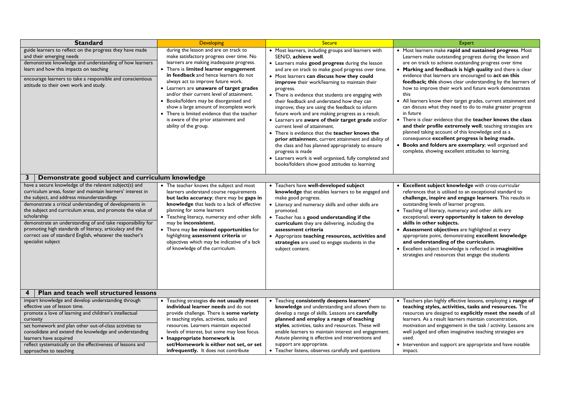| <b>Standard</b>                                                                                                                                                                                                                                                                                                                                                                                                                                                                                                                                                                                                                                                                                                                                                                                                                                                                                                                                                                                                                                  | Developing                                                                                                                                                                                                                                                                                                                                                                                                                                                                                                                                          | <b>Secure</b>                                                                                                                                                                                                                                                                                                                                                                                                                                                                                                                                                                                                                                                                                                                                                                                                                                                                                | <b>Expert</b>                                                                                                                                                                                                                                                                                                                                                                                                                                                                                                                                                                                                                                                                                                                                                                                                                                                                                                                    |  |  |
|--------------------------------------------------------------------------------------------------------------------------------------------------------------------------------------------------------------------------------------------------------------------------------------------------------------------------------------------------------------------------------------------------------------------------------------------------------------------------------------------------------------------------------------------------------------------------------------------------------------------------------------------------------------------------------------------------------------------------------------------------------------------------------------------------------------------------------------------------------------------------------------------------------------------------------------------------------------------------------------------------------------------------------------------------|-----------------------------------------------------------------------------------------------------------------------------------------------------------------------------------------------------------------------------------------------------------------------------------------------------------------------------------------------------------------------------------------------------------------------------------------------------------------------------------------------------------------------------------------------------|----------------------------------------------------------------------------------------------------------------------------------------------------------------------------------------------------------------------------------------------------------------------------------------------------------------------------------------------------------------------------------------------------------------------------------------------------------------------------------------------------------------------------------------------------------------------------------------------------------------------------------------------------------------------------------------------------------------------------------------------------------------------------------------------------------------------------------------------------------------------------------------------|----------------------------------------------------------------------------------------------------------------------------------------------------------------------------------------------------------------------------------------------------------------------------------------------------------------------------------------------------------------------------------------------------------------------------------------------------------------------------------------------------------------------------------------------------------------------------------------------------------------------------------------------------------------------------------------------------------------------------------------------------------------------------------------------------------------------------------------------------------------------------------------------------------------------------------|--|--|
| guide learners to reflect on the progress they have made<br>and their emerging needs<br>demonstrate knowledge and understanding of how learners<br>learn and how this impacts on teaching<br>encourage learners to take a responsible and conscientious<br>attitude to their own work and study.                                                                                                                                                                                                                                                                                                                                                                                                                                                                                                                                                                                                                                                                                                                                                 | during the lesson and are on track to<br>make satisfactory progress over time. No<br>learners are making inadequate progress.<br>• There is limited learner engagement<br>in feedback and hence learners do not<br>always act to improve future work.<br>• Learners are unaware of target grades<br>and/or their current level of attainment.<br>• Books/folders may be disorganised and<br>show a large amount of incomplete work<br>• There is limited evidence that the teacher<br>is aware of the prior attainment and<br>ability of the group. | • Most learners, including groups and learners with<br>SEN/D. achieve well.<br>• Learners make good progress during the lesson<br>and are on track to make good progress over time.<br>• Most learners can discuss how they could<br>improve their work/learning to maintain their<br>progress.<br>• There is evidence that students are engaging with<br>their feedback and understand how they can<br>improve; they are using the feedback to inform<br>future work and are making progress as a result.<br>• Learners are aware of their target grade and/or<br>current level of attainment.<br>• There is evidence that the teacher knows the<br>prior attainment, current attainment and ability of<br>the class and has planned appropriately to ensure<br>progress is made<br>• Learners work is well organised, fully completed and<br>books/folders show good attitudes to learning | • Most learners make rapid and sustained progress. Most<br>Learners make outstanding progress during the lesson and<br>are on track to achieve outstanding progress over time<br>• Marking and feedback is high quality and there is clear<br>evidence that learners are encouraged to act on this<br>feedback; this shows clear understanding by the learners of<br>how to improve their work and future work demonstrates<br>this<br>• All learners know their target grades, current attainment and<br>can discuss what they need to do to make greater progress<br>in future<br>• There is clear evidence that the teacher knows the class<br>and their profile extremely well; teaching strategies are<br>planned taking account of this knowledge and as a<br>consequence excellent progress is being made.<br>• Books and folders are exemplary; well organised and<br>complete, showing excellent attitudes to learning. |  |  |
| 3<br>Demonstrate good subject and curriculum knowledge<br>have a secure knowledge of the relevant subject(s) and<br>• The teacher knows the subject and most<br>curriculum areas, foster and maintain learners' interest in<br>learners understand course requirements<br>the subject, and address misunderstandings<br>but lacks accuracy; there may be gaps in<br>demonstrate a critical understanding of developments in<br>knowledge that leads to a lack of effective<br>the subject and curriculum areas, and promote the value of<br>planning for some learners<br>scholarship<br>• Teaching literacy, numeracy and other skills<br>demonstrate an understanding of and take responsibility for<br>may be inconsistent.<br>promoting high standards of literacy, articulacy and the<br>• There may be missed opportunities for<br>correct use of standard English, whatever the teacher's<br>highlighting assessment criteria or<br>specialist subject<br>objectives which may be indicative of a lack<br>of knowledge of the curriculum. |                                                                                                                                                                                                                                                                                                                                                                                                                                                                                                                                                     | Teachers have well-developed subject<br>knowledge that enables learners to be engaged and<br>make good progress.<br>• Literacy and numeracy skills and other skills are<br>promoted.<br>Teacher has a good understanding if the<br>curriculum they are delivering, including the<br>assessment criteria<br>• Appropriate teaching resources, activities and<br>strategies are used to engage students in the<br>subject content.                                                                                                                                                                                                                                                                                                                                                                                                                                                             | • Excellent subject knowledge with cross-curricular<br>references that is utilised to an exceptional standard to<br>challenge, inspire and engage learners. This results in<br>outstanding levels of learner progress.<br>• Teaching of literacy, numeracy and other skills are<br>exceptional; every opportunity is taken to develop<br>skills in other subjects.<br>• Assessment objectives are highlighted at every<br>appropriate point, demonstrating excellent knowledge<br>and understanding of the curriculum.<br>• Excellent subject knowledge is reflected in imaginitive<br>strategies and resources that engage the students                                                                                                                                                                                                                                                                                         |  |  |
| Plan and teach well structured lessons<br>4<br>impart knowledge and develop understanding through<br>effective use of lesson time.<br>promote a love of learning and children's intellectual<br>curiosity<br>set homework and plan other out-of-class activities to<br>consolidate and extend the knowledge and understanding<br>learners have acquired<br>reflect systematically on the effectiveness of lessons and<br>approaches to teaching                                                                                                                                                                                                                                                                                                                                                                                                                                                                                                                                                                                                  | • Teaching strategies do not usually meet<br>individual learner needs and do not<br>provide challenge. There is some variety<br>in teaching styles, activities, tasks and<br>resources. Learners maintain expected<br>levels of interest, but some may lose focus.<br>• Inappropriate homework is<br>set/Homework is either not set, or set<br>infrequently. It does not contribute                                                                                                                                                                 | • Teaching consistently deepens learners'<br>knowledge and understanding and allows them to<br>develop a range of skills. Lessons are carefully<br>planned and employ a range of teaching<br>styles, activities, tasks and resources. These will<br>enable learners to maintain interest and engagement.<br>Astute planning is effective and interventions and<br>support are appropriate.<br>• Teacher listens, observes carefully and questions                                                                                                                                                                                                                                                                                                                                                                                                                                            | • Teachers plan highly effective lessons, employing a range of<br>teaching styles, activities, tasks and resources. The<br>resources are designed to explicitly meet the needs of all<br>learners. As a result learners maintain concentration,<br>motivation and engagement in the task / activity. Lessons are<br>well judged and often imaginative teaching strategies are<br>used.<br>• Intervention and support are appropriate and have notable<br>impact.                                                                                                                                                                                                                                                                                                                                                                                                                                                                 |  |  |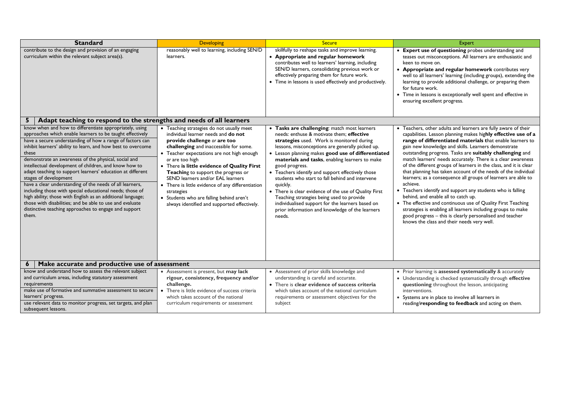| <b>Standard</b>                                                                                                                                                                                                                                                                                                                                                                                                                                                                                                                                                                                                                                                                                                                                                                                                                                                                                                                                                                                                                                                                                                                                                                                                                                                                                                                                                                          | <b>Developing</b>                                                                                                                                                                                                              | <b>Secure</b>                                                                                                                                                                                                                                                                                                                                                                                                                                                                                                                                                                                                                                                   | <b>Expert</b>                                                                                                                                                                                                                                                                                                                                                                                                                                                                                                                                                                                                                                                                                                                                                                                                                                                                                                                                       |  |  |  |
|------------------------------------------------------------------------------------------------------------------------------------------------------------------------------------------------------------------------------------------------------------------------------------------------------------------------------------------------------------------------------------------------------------------------------------------------------------------------------------------------------------------------------------------------------------------------------------------------------------------------------------------------------------------------------------------------------------------------------------------------------------------------------------------------------------------------------------------------------------------------------------------------------------------------------------------------------------------------------------------------------------------------------------------------------------------------------------------------------------------------------------------------------------------------------------------------------------------------------------------------------------------------------------------------------------------------------------------------------------------------------------------|--------------------------------------------------------------------------------------------------------------------------------------------------------------------------------------------------------------------------------|-----------------------------------------------------------------------------------------------------------------------------------------------------------------------------------------------------------------------------------------------------------------------------------------------------------------------------------------------------------------------------------------------------------------------------------------------------------------------------------------------------------------------------------------------------------------------------------------------------------------------------------------------------------------|-----------------------------------------------------------------------------------------------------------------------------------------------------------------------------------------------------------------------------------------------------------------------------------------------------------------------------------------------------------------------------------------------------------------------------------------------------------------------------------------------------------------------------------------------------------------------------------------------------------------------------------------------------------------------------------------------------------------------------------------------------------------------------------------------------------------------------------------------------------------------------------------------------------------------------------------------------|--|--|--|
| contribute to the design and provision of an engaging<br>curriculum within the relevant subject area(s).                                                                                                                                                                                                                                                                                                                                                                                                                                                                                                                                                                                                                                                                                                                                                                                                                                                                                                                                                                                                                                                                                                                                                                                                                                                                                 | reasonably well to learning, including SEN/D<br>learners.                                                                                                                                                                      | skillfully to reshape tasks and improve learning.<br>• Appropriate and regular homework<br>contributes well to learners' learning, including<br>SEN/D learners, consolidating previous work or<br>effectively preparing them for future work.<br>• Time in lessons is used effectively and productively.                                                                                                                                                                                                                                                                                                                                                        | • Expert use of questioning probes understanding and<br>teases out misconceptions. All learners are enthusiastic and<br>keen to move on.<br>• Appropriate and regular homework contributes very<br>well to all learners' learning (including groups), extending the<br>learning to provide additional challenge, or preparing them<br>for future work.<br>• Time in lessons is exceptionally well spent and effective in<br>ensuring excellent progress.                                                                                                                                                                                                                                                                                                                                                                                                                                                                                            |  |  |  |
| 5 <sup>1</sup>                                                                                                                                                                                                                                                                                                                                                                                                                                                                                                                                                                                                                                                                                                                                                                                                                                                                                                                                                                                                                                                                                                                                                                                                                                                                                                                                                                           |                                                                                                                                                                                                                                |                                                                                                                                                                                                                                                                                                                                                                                                                                                                                                                                                                                                                                                                 |                                                                                                                                                                                                                                                                                                                                                                                                                                                                                                                                                                                                                                                                                                                                                                                                                                                                                                                                                     |  |  |  |
| Adapt teaching to respond to the strengths and needs of all learners<br>know when and how to differentiate appropriately, using<br>• Teaching strategies do not usually meet<br>approaches which enable learners to be taught effectively<br>individual learner needs and do not<br>have a secure understanding of how a range of factors can<br>provide challenge or are too<br>inhibit learners' ability to learn, and how best to overcome<br>challenging and inaccessible for some.<br>these<br>• Teacher expectations are not high enough<br>demonstrate an awareness of the physical, social and<br>or are too high<br>intellectual development of children, and know how to<br>• There is little evidence of Quality First<br>adapt teaching to support learners' education at different<br>Teaching to support the progress or<br>stages of development<br>SEND learners and/or EAL learners<br>have a clear understanding of the needs of all learners,<br>• There is little evidence of any differentiation<br>including those with special educational needs; those of<br>strategies<br>high ability; those with English as an additional language;<br>• Students who are falling behind aren't<br>those with disabilities; and be able to use and evaluate<br>always identified and supported effectively.<br>distinctive teaching approaches to engage and support<br>them. |                                                                                                                                                                                                                                | • Tasks are challenging: match most learners<br>needs: enthuse & motivate them; effective<br>strategies used. Work is monitored during<br>lessons, misconceptions are generally picked up.<br>• Lesson planning makes good use of differentiated<br>materials and tasks, enabling learners to make<br>good progress.<br>• Teachers identify and support effectively those<br>students who start to fall behind and intervene<br>quickly.<br>• There is clear evidence of the use of Quality First<br>Teaching strategies being used to provide<br>individualised support for the learners based on<br>prior information and knowledge of the learners<br>needs. | • Teachers, other adults and learners are fully aware of their<br>capabilities. Lesson planning makes highly effective use of a<br>range of differentiated materials that enable learners to<br>gain new knowledge and skills. Learners demonstrate<br>outstanding progress. Tasks are suitably challenging and<br>match learners' needs accurately. There is a clear awareness<br>of the different groups of learners in the class, and it is clear<br>that planning has taken account of the needs of the individual<br>learners; as a consequence all groups of learners are able to<br>achieve.<br>• Teachers identify and support any students who is falling<br>behind, and enable all to catch up.<br>• The effective and continuous use of Quality First Teaching<br>strategies is enabling all learners including groups to make<br>good progress - this is clearly personalised and teacher<br>knows the class and their needs very well. |  |  |  |
| Make accurate and productive use of assessment<br>$\mathbf{6}$                                                                                                                                                                                                                                                                                                                                                                                                                                                                                                                                                                                                                                                                                                                                                                                                                                                                                                                                                                                                                                                                                                                                                                                                                                                                                                                           |                                                                                                                                                                                                                                |                                                                                                                                                                                                                                                                                                                                                                                                                                                                                                                                                                                                                                                                 |                                                                                                                                                                                                                                                                                                                                                                                                                                                                                                                                                                                                                                                                                                                                                                                                                                                                                                                                                     |  |  |  |
| know and understand how to assess the relevant subject<br>and curriculum areas, including statutory assessment<br>requirements<br>make use of formative and summative assessment to secure<br>learners' progress.<br>use relevant data to monitor progress, set targets, and plan<br>subsequent lessons.                                                                                                                                                                                                                                                                                                                                                                                                                                                                                                                                                                                                                                                                                                                                                                                                                                                                                                                                                                                                                                                                                 | • Assessment is present, but may lack<br>rigour, consistency, frequency and/or<br>challenge.<br>• There is little evidence of success criteria<br>which takes account of the national<br>curriculum requirements or assessment | • Assessment of prior skills knowledge and<br>understanding is careful and accurate.<br>• There is clear evidence of success criteria<br>which takes account of the national curriculum<br>requirements or assessment objectives for the<br>subject                                                                                                                                                                                                                                                                                                                                                                                                             | • Prior learning is assessed systematically & accurately<br>• Understanding is checked systematically through effective<br>questioning throughout the lesson, anticipating<br>interventions.<br>• Systems are in place to involve all learners in<br>reading/responding to feedback and acting on them.                                                                                                                                                                                                                                                                                                                                                                                                                                                                                                                                                                                                                                             |  |  |  |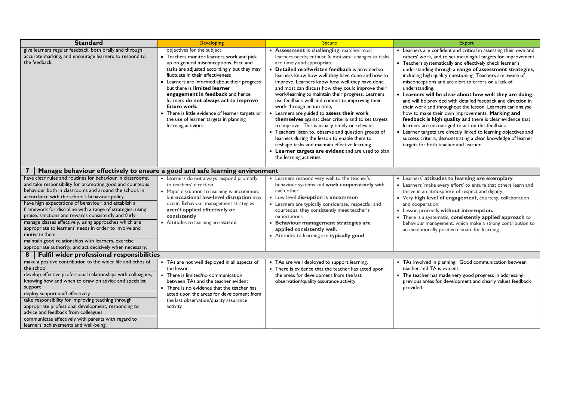| <b>Standard</b>                                                                                                                                                                                                                                                                                                                                                                                                                                                                                                                                                                                                                                                           | <b>Developing</b>                                                                                                                                                                                                                                                                                                                                                                                                                                                                                      | <b>Secure</b>                                                                                                                                                                                                                                                                                                                                                                                                                                                                                                                                                                                                                                                                                                                                                                                                                                                                           | <b>Expert</b>                                                                                                                                                                                                                                                                                                                                                                                                                                                                                                                                                                                                                                                                                                                                                                                                                                                                                                                           |  |  |  |
|---------------------------------------------------------------------------------------------------------------------------------------------------------------------------------------------------------------------------------------------------------------------------------------------------------------------------------------------------------------------------------------------------------------------------------------------------------------------------------------------------------------------------------------------------------------------------------------------------------------------------------------------------------------------------|--------------------------------------------------------------------------------------------------------------------------------------------------------------------------------------------------------------------------------------------------------------------------------------------------------------------------------------------------------------------------------------------------------------------------------------------------------------------------------------------------------|-----------------------------------------------------------------------------------------------------------------------------------------------------------------------------------------------------------------------------------------------------------------------------------------------------------------------------------------------------------------------------------------------------------------------------------------------------------------------------------------------------------------------------------------------------------------------------------------------------------------------------------------------------------------------------------------------------------------------------------------------------------------------------------------------------------------------------------------------------------------------------------------|-----------------------------------------------------------------------------------------------------------------------------------------------------------------------------------------------------------------------------------------------------------------------------------------------------------------------------------------------------------------------------------------------------------------------------------------------------------------------------------------------------------------------------------------------------------------------------------------------------------------------------------------------------------------------------------------------------------------------------------------------------------------------------------------------------------------------------------------------------------------------------------------------------------------------------------------|--|--|--|
| give learners regular feedback, both orally and through<br>accurate marking, and encourage learners to respond to<br>the feedback.                                                                                                                                                                                                                                                                                                                                                                                                                                                                                                                                        | objectives for the subject<br>• Teachers monitor learners work and pick<br>up on general misconceptions. Pace and<br>tasks are adjusted accordingly but they may<br>fluctuate in their effectiveness<br>• Learners are informed about their progress<br>but there is limited learner<br>engagement in feedback and hence<br>learners do not always act to improve<br>future work.<br>• There is little evidence of learner targets or<br>the use of learner targets in planning<br>learning activities | • Assessment is challenging: matches most<br>learners needs; enthuse & motivate: changes to tasks<br>are timely and appropriate.<br>• Detailed oral/written feedback is provided so<br>learners know how well they have done and how to<br>improve. Learners know how well they have done<br>and most can discuss how they could improve their<br>work/learning to maintain their progress. Learners<br>use feedback well and commit to improving their<br>work through action time,<br>• Learners are guided to assess their work<br>themselves against clear criteria and to set targets<br>to improve. This is usually timely or relevant.<br>• Teachers listen to, observe and question groups of<br>learners during the lesson to enable them to<br>reshape tasks and maintain effective learning<br>• Learner targets are evident and are used to plan<br>the learning activities | • Learners are confident and critical in assessing their own and<br>others' work, and to set meaningful targets for improvement.<br>• Teachers systematically and effectively check learner's<br>understanding through a range of assessment strategies,<br>including high quality questioning. Teachers are aware of<br>misconceptions and are alert to errors or a lack of<br>understanding.<br>• Learners will be clear about how well they are doing<br>and will be provided with detailed feedback and direction in<br>their work and throughout the lesson. Learners can analyse<br>how to make their own improvements. Marking and<br>feedback is high quality and there is clear evidence that<br>learners are encouraged to act on this feedback.<br>• Learner targets are directly linked to learning objectives and<br>success criteria, demonstrating a clear knowledge of learner<br>targets for both teacher and learner. |  |  |  |
| Manage behaviour effectively to ensure a good and safe learning environment                                                                                                                                                                                                                                                                                                                                                                                                                                                                                                                                                                                               |                                                                                                                                                                                                                                                                                                                                                                                                                                                                                                        |                                                                                                                                                                                                                                                                                                                                                                                                                                                                                                                                                                                                                                                                                                                                                                                                                                                                                         |                                                                                                                                                                                                                                                                                                                                                                                                                                                                                                                                                                                                                                                                                                                                                                                                                                                                                                                                         |  |  |  |
| have clear rules and routines for behaviour in classrooms.<br>and take responsibility for promoting good and courteous<br>behaviour both in classrooms and around the school, in<br>accordance with the school's behaviour policy<br>have high expectations of behaviour, and establish a<br>framework for discipline with a range of strategies, using<br>praise, sanctions and rewards consistently and fairly<br>manage classes effectively, using approaches which are<br>appropriate to learners' needs in order to involve and<br>motivate them<br>maintain good relationships with learners, exercise<br>appropriate authority, and act decisively when necessary. | • Learners do not always respond promptly<br>to teachers' direction.<br>• Major disruption to learning is uncommon,<br>but occasional low-level disruption may<br>occur. Behaviour management strategies<br>aren't applied effectively or<br>consistently<br>• Attitudes to learning are varied                                                                                                                                                                                                        | • Learners respond very well to the teacher's<br>behaviour systems and work cooperatively with<br>each other.<br>• Low level disruption is uncommon<br>• Learners are typically considerate, respectful and<br>courteous; they consistently meet teacher's<br>expectations.<br>Behaviour management strategies are<br>applied consistently well.<br>• Attitudes to learning are typically good                                                                                                                                                                                                                                                                                                                                                                                                                                                                                          | • Learners' attitudes to learning are exemplary.<br>• Learners 'make every effort' to ensure that others learn and<br>thrive in an atmosphere of respect and dignity.<br>• Very high level of engagement, courtesy, collaboration<br>and cooperation.<br>• Lesson proceeds without interruption.<br>• There is a systematic, consistently applied approach to<br>behaviour management, which make a strong contribution to<br>an exceptionally positive climate for learning.                                                                                                                                                                                                                                                                                                                                                                                                                                                           |  |  |  |
| 8                                                                                                                                                                                                                                                                                                                                                                                                                                                                                                                                                                                                                                                                         | Fulfil wider professional responsibilities                                                                                                                                                                                                                                                                                                                                                                                                                                                             |                                                                                                                                                                                                                                                                                                                                                                                                                                                                                                                                                                                                                                                                                                                                                                                                                                                                                         |                                                                                                                                                                                                                                                                                                                                                                                                                                                                                                                                                                                                                                                                                                                                                                                                                                                                                                                                         |  |  |  |
| make a positive contribution to the wider life and ethos of<br>the school<br>develop effective professional relationships with colleagues,<br>knowing how and when to draw on advice and specialist<br>support<br>deploy support staff effectively<br>take responsibility for improving teaching through<br>appropriate professional development, responding to<br>advice and feedback from colleagues<br>communicate effectively with parents with regard to<br>learners' achievements and well-being.                                                                                                                                                                   | • TAs are not well deployed in all aspects of<br>the lesson.<br>• There is limited/no communication<br>between TAs and the teacher evident<br>• There is no evidence that the teacher has<br>acted upon the areas for development from<br>the last observation/quality assurance<br>activity                                                                                                                                                                                                           | • TAs are well deployed to support learning.<br>• There is evidence that the teacher has acted upon<br>the areas for development from the last<br>observation/quality assurance activity                                                                                                                                                                                                                                                                                                                                                                                                                                                                                                                                                                                                                                                                                                | • TAs involved in planning. Good communication between<br>teacher and TA is evident.<br>• The teacher has made very good progress in addressing<br>previous areas for development and clearly values feedback<br>provided.                                                                                                                                                                                                                                                                                                                                                                                                                                                                                                                                                                                                                                                                                                              |  |  |  |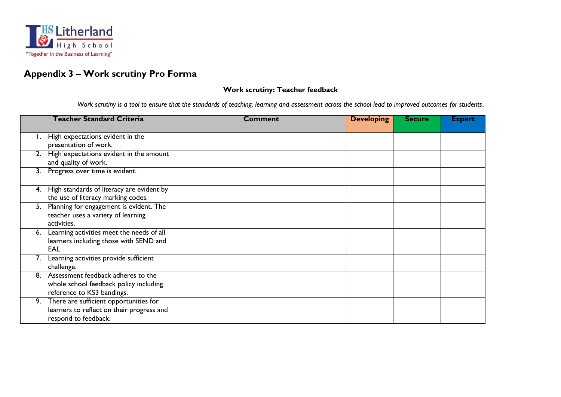

## **Appendix 3 – Work scrutiny Pro Forma**

#### **Work scrutiny: Teacher feedback**

*Work scrutiny is a tool to ensure that the standards of teaching, learning and assessment across the school lead to improved outcomes for students*.

| <b>Teacher Standard Criteria</b>                | Comment | <b>Developing</b> | <b>Secure</b> | <b>Expert</b> |
|-------------------------------------------------|---------|-------------------|---------------|---------------|
|                                                 |         |                   |               |               |
| High expectations evident in the                |         |                   |               |               |
| presentation of work.                           |         |                   |               |               |
| High expectations evident in the amount<br>2.   |         |                   |               |               |
| and quality of work.                            |         |                   |               |               |
| Progress over time is evident.<br>3.            |         |                   |               |               |
|                                                 |         |                   |               |               |
| High standards of literacy are evident by<br>4. |         |                   |               |               |
| the use of literacy marking codes.              |         |                   |               |               |
| Planning for engagement is evident. The<br>5.   |         |                   |               |               |
| teacher uses a variety of learning              |         |                   |               |               |
| activities.                                     |         |                   |               |               |
| Learning activities meet the needs of all<br>6. |         |                   |               |               |
| learners including those with SEND and          |         |                   |               |               |
| EAL.                                            |         |                   |               |               |
| Learning activities provide sufficient          |         |                   |               |               |
| challenge.                                      |         |                   |               |               |
| Assessment feedback adheres to the<br>8.        |         |                   |               |               |
| whole school feedback policy including          |         |                   |               |               |
| reference to KS3 bandings.                      |         |                   |               |               |
| There are sufficient opportunities for<br>9.    |         |                   |               |               |
| learners to reflect on their progress and       |         |                   |               |               |
| respond to feedback.                            |         |                   |               |               |